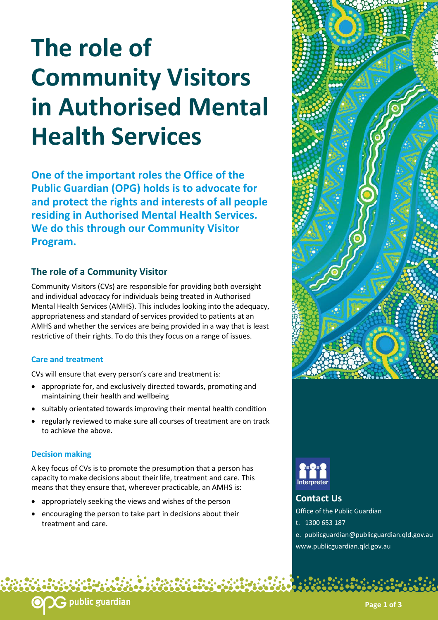# **The role of Community Visitors in Authorised Mental Health Services**

**One of the important roles the Office of the Public Guardian (OPG) holds is to advocate for and protect the rights and interests of all people residing in Authorised Mental Health Services. We do this through our Community Visitor Program.**

## **The role of a Community Visitor**

Community Visitors (CVs) are responsible for providing both oversight and individual advocacy for individuals being treated in Authorised Mental Health Services (AMHS). This includes looking into the adequacy, appropriateness and standard of services provided to patients at an AMHS and whether the services are being provided in a way that is least restrictive of their rights. To do this they focus on a range of issues.

#### **Care and treatment**

CVs will ensure that every person's care and treatment is:

- appropriate for, and exclusively directed towards, promoting and maintaining their health and wellbeing
- suitably orientated towards improving their mental health condition
- regularly reviewed to make sure all courses of treatment are on track to achieve the above.

#### **Decision making**

A key focus of CVs is to promote the presumption that a person has capacity to make decisions about their life, treatment and care. This means that they ensure that, wherever practicable, an AMHS is:

appropriately seeking the views and wishes of the person

public guardian <mark>,</mark>

 encouraging the person to take part in decisions about their treatment and care.





## **Contact Us**

Office of the Public Guardian

- t. 1300 653 187
- e. publicguardian@publicguardian.qld.gov.au www.publicguardian.qld.gov.au

**Page 1 of 3**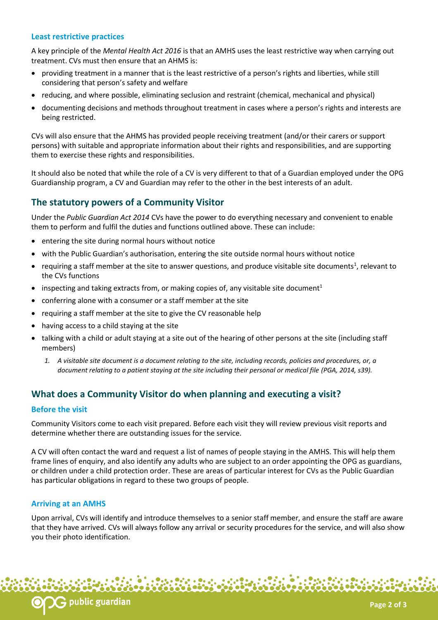#### **Least restrictive practices**

A key principle of the *Mental Health Act 2016* is that an AMHS uses the least restrictive way when carrying out treatment. CVs must then ensure that an AHMS is:

- providing treatment in a manner that is the least restrictive of a person's rights and liberties, while still considering that person's safety and welfare
- reducing, and where possible, eliminating seclusion and restraint (chemical, mechanical and physical)
- documenting decisions and methods throughout treatment in cases where a person's rights and interests are being restricted.

CVs will also ensure that the AHMS has provided people receiving treatment (and/or their carers or support persons) with suitable and appropriate information about their rights and responsibilities, and are supporting them to exercise these rights and responsibilities.

It should also be noted that while the role of a CV is very different to that of a Guardian employed under the OPG Guardianship program, a CV and Guardian may refer to the other in the best interests of an adult.

## **The statutory powers of a Community Visitor**

Under the *Public Guardian Act 2014* CVs have the power to do everything necessary and convenient to enable them to perform and fulfil the duties and functions outlined above. These can include:

- entering the site during normal hours without notice
- with the Public Guardian's authorisation, entering the site outside normal hours without notice
- requiring a staff member at the site to answer questions, and produce visitable site documents<sup>1</sup>, relevant to the CVs functions
- inspecting and taking extracts from, or making copies of, any visitable site document<sup>1</sup>
- conferring alone with a consumer or a staff member at the site
- requiring a staff member at the site to give the CV reasonable help
- having access to a child staying at the site
- talking with a child or adult staying at a site out of the hearing of other persons at the site (including staff members)
	- *1. A visitable site document is a document relating to the site, including records, policies and procedures, or, a document relating to a patient staying at the site including their personal or medical file (PGA, 2014, s39).*

## **What does a Community Visitor do when planning and executing a visit?**

#### **Before the visit**

Community Visitors come to each visit prepared. Before each visit they will review previous visit reports and determine whether there are outstanding issues for the service.

A CV will often contact the ward and request a list of names of people staying in the AMHS. This will help them frame lines of enquiry, and also identify any adults who are subject to an order appointing the OPG as guardians, or children under a child protection order. These are areas of particular interest for CVs as the Public Guardian has particular obligations in regard to these two groups of people.

#### **Arriving at an AMHS**

Upon arrival, CVs will identify and introduce themselves to a senior staff member, and ensure the staff are aware that they have arrived. CVs will always follow any arrival or security procedures for the service, and will also show you their photo identification.